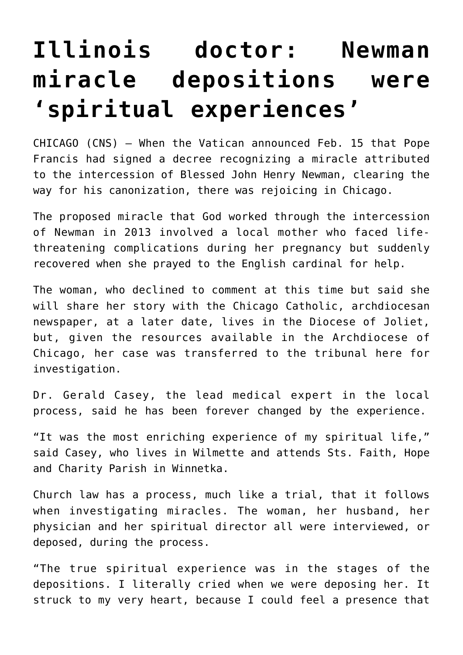## **[Illinois doctor: Newman](https://www.osvnews.com/2019/02/19/illinois-doctor-newman-miracle-depositions-were-spiritual-experiences/) [miracle depositions were](https://www.osvnews.com/2019/02/19/illinois-doctor-newman-miracle-depositions-were-spiritual-experiences/) ['spiritual experiences'](https://www.osvnews.com/2019/02/19/illinois-doctor-newman-miracle-depositions-were-spiritual-experiences/)**

CHICAGO (CNS) — When the Vatican announced Feb. 15 that Pope Francis had signed a decree recognizing a miracle attributed to the intercession of Blessed John Henry Newman, clearing the way for his canonization, there was rejoicing in Chicago.

The proposed miracle that God worked through the intercession of Newman in 2013 involved a local mother who faced lifethreatening complications during her pregnancy but suddenly recovered when she prayed to the English cardinal for help.

The woman, who declined to comment at this time but said she will share her story with the Chicago Catholic, archdiocesan newspaper, at a later date, lives in the Diocese of Joliet, but, given the resources available in the Archdiocese of Chicago, her case was transferred to the tribunal here for investigation.

Dr. Gerald Casey, the lead medical expert in the local process, said he has been forever changed by the experience.

"It was the most enriching experience of my spiritual life," said Casey, who lives in Wilmette and attends Sts. Faith, Hope and Charity Parish in Winnetka.

Church law has a process, much like a trial, that it follows when investigating miracles. The woman, her husband, her physician and her spiritual director all were interviewed, or deposed, during the process.

"The true spiritual experience was in the stages of the depositions. I literally cried when we were deposing her. It struck to my very heart, because I could feel a presence that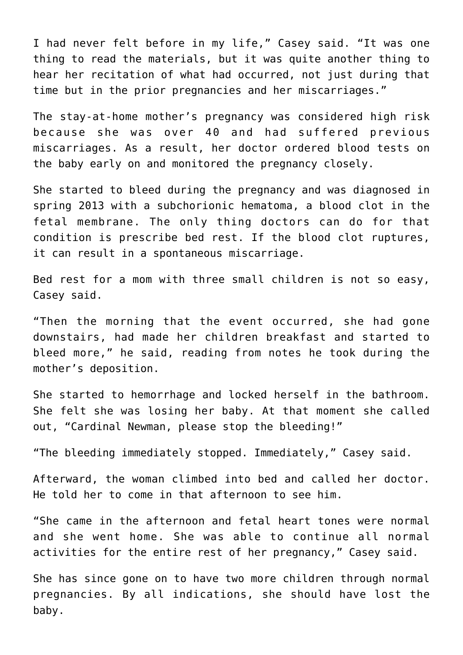I had never felt before in my life," Casey said. "It was one thing to read the materials, but it was quite another thing to hear her recitation of what had occurred, not just during that time but in the prior pregnancies and her miscarriages."

The stay-at-home mother's pregnancy was considered high risk because she was over 40 and had suffered previous miscarriages. As a result, her doctor ordered blood tests on the baby early on and monitored the pregnancy closely.

She started to bleed during the pregnancy and was diagnosed in spring 2013 with a subchorionic hematoma, a blood clot in the fetal membrane. The only thing doctors can do for that condition is prescribe bed rest. If the blood clot ruptures, it can result in a spontaneous miscarriage.

Bed rest for a mom with three small children is not so easy, Casey said.

"Then the morning that the event occurred, she had gone downstairs, had made her children breakfast and started to bleed more," he said, reading from notes he took during the mother's deposition.

She started to hemorrhage and locked herself in the bathroom. She felt she was losing her baby. At that moment she called out, "Cardinal Newman, please stop the bleeding!"

"The bleeding immediately stopped. Immediately," Casey said.

Afterward, the woman climbed into bed and called her doctor. He told her to come in that afternoon to see him.

"She came in the afternoon and fetal heart tones were normal and she went home. She was able to continue all normal activities for the entire rest of her pregnancy," Casey said.

She has since gone on to have two more children through normal pregnancies. By all indications, she should have lost the baby.